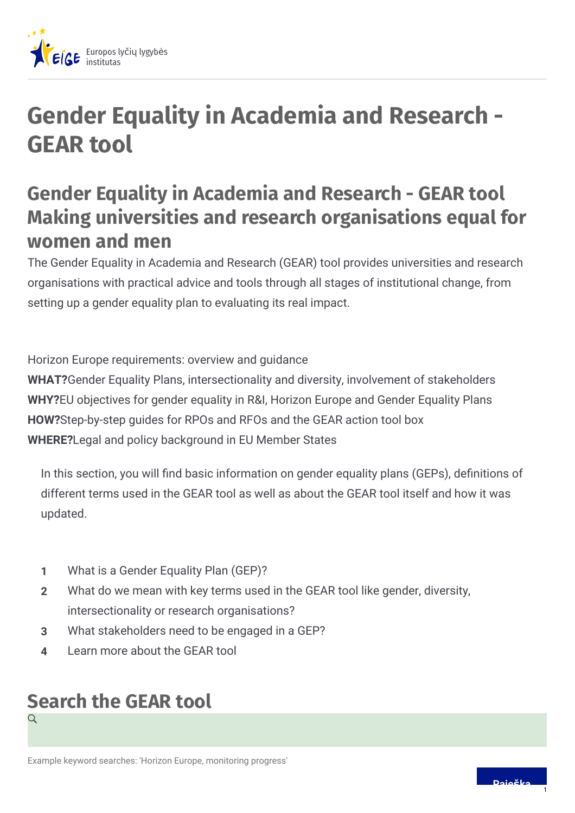

# **Gender Equality in Academia and Research - GEAR tool**

## **Gender Equality in Academia and Research - GEAR tool Making universities and research organisations equal for women and men**

The Gender Equality in Academia and Research (GEAR) tool provides universities and research organisations with practical advice and tools through all stages of institutional change, from setting up a gender equality plan to evaluating its real impact.

Horizon Europe requirements: overview and guidance

**WHAT?**Gender Equality Plans, intersectionality and diversity, involvement of stakeholders **WHY?**EU objectives for gender equality in R&I, Horizon Europe and Gender Equality Plans **HOW?**Step-by-step guides for RPOs and RFOs and the GEAR action tool box **WHERE?**Legal and policy background in EU Member States

In this section, you will find basic information on gender equality plans (GEPs), definitions of different terms used in the GEAR tool as well as about the GEAR tool itself and how it was updated.

- **1** What is a Gender Equality Plan (GEP)?
- What do we mean with key terms used in the GEAR tool like gender, diversity, intersectionality or research organisations? **2**
- **3** What stakeholders need to be engaged in a GEP?
- **4** Learn more about the GEAR tool

#### **Search the GEAR tool** Q

Example keyword searches: 'Horizon Europe, monitoring progress'

1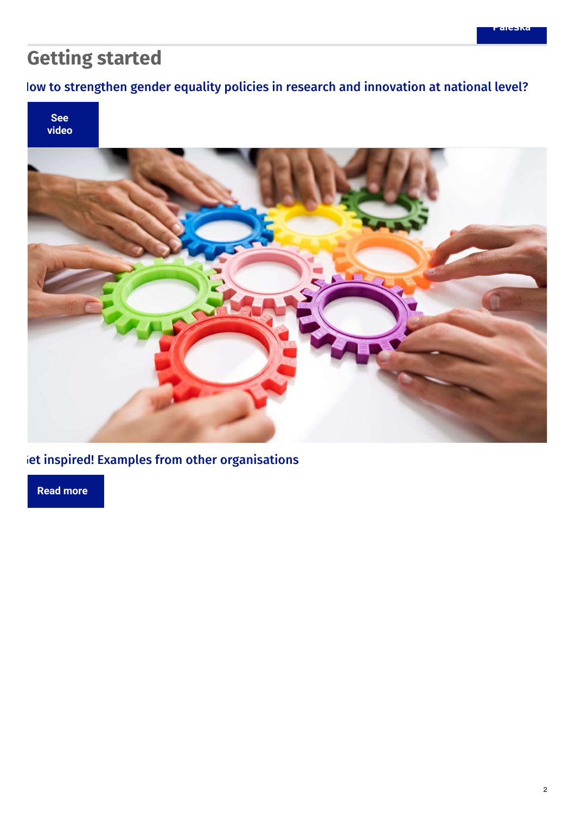## **Getting started**

#### low to [strengthen](https://www.youtube.com/watch?v=SjNEjuqZYcs) gender equality policies in research and innovation at national level?



iet inspired! Examples from other [organisations](https://eige.europa.eu/gender-mainstreaming/toolkits/gear/action-toolbox)

**Read [more](https://eige.europa.eu/gender-mainstreaming/toolkits/gear/action-toolbox)**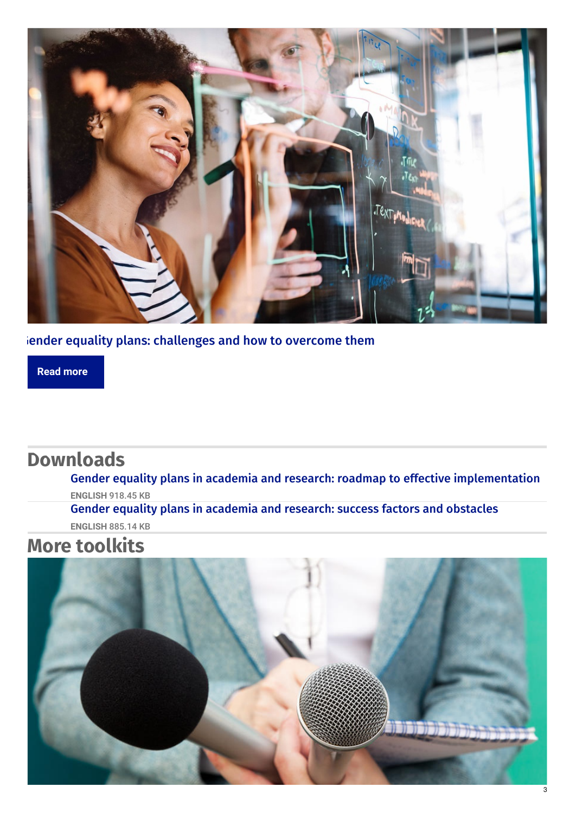

iender equality plans: [challenges](https://eige.europa.eu/gender-mainstreaming/toolkits/gear/challenges-resistance) and how to overcome them

**Read [more](https://eige.europa.eu/gender-mainstreaming/toolkits/gear/challenges-resistance)**

### **Downloads**

Gender equality plans in academia and research: roadmap to effective [implementation](https://eige.europa.eu/sites/default/files/documents/roadmap_to_effective_implementation_of_geps.pdf)

**ENGLISH** 918.45 KB

Gender equality plans in [academia](https://eige.europa.eu/sites/default/files/documents/success_factors_and_obstacles_for_gender_equality_plans.pdf) and research: success factors and obstacles **ENGLISH** 885.14 KB

### **More toolkits**

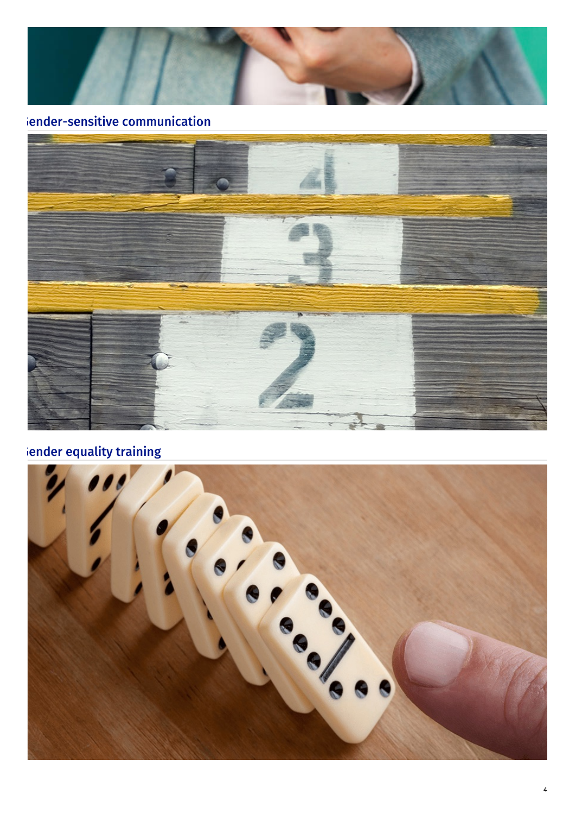

#### iender-sensitive communication



#### ender [equality](https://eige.europa.eu/gender-mainstreaming/toolkits/gender-equality-training) training